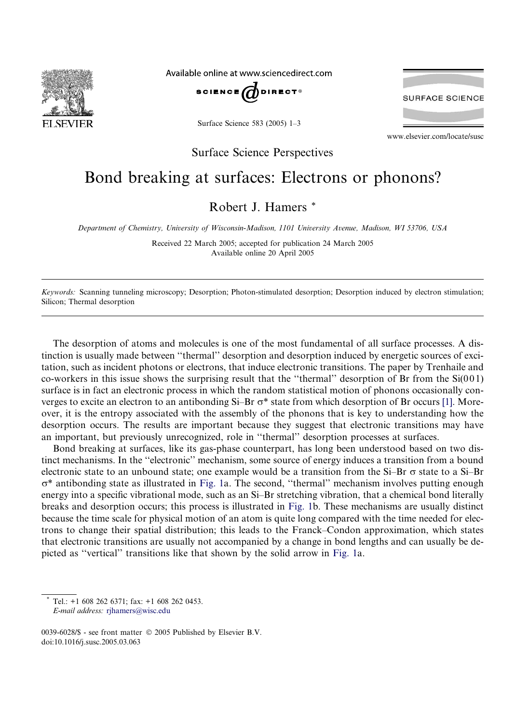

Available online at www.sciencedirect.com



Surface Science 583 (2005) 1–3

**SURFACE SCIENCE** 

www.elsevier.com/locate/susc

Surface Science Perspectives

## Bond breaking at surfaces: Electrons or phonons?

Robert J. Hamers \*

Department of Chemistry, University of Wisconsin-Madison, 1101 University Avenue, Madison, WI 53706, USA

Received 22 March 2005; accepted for publication 24 March 2005 Available online 20 April 2005

Keywords: Scanning tunneling microscopy; Desorption; Photon-stimulated desorption; Desorption induced by electron stimulation; Silicon; Thermal desorption

The desorption of atoms and molecules is one of the most fundamental of all surface processes. A distinction is usually made between ''thermal'' desorption and desorption induced by energetic sources of excitation, such as incident photons or electrons, that induce electronic transitions. The paper by Trenhaile and co-workers in this issue shows the surprising result that the ''thermal'' desorption of Br from the Si(0 0 1) surface is in fact an electronic process in which the random statistical motion of phonons occasionally converges to excite an electron to an antibonding  $Si-Br \sigma^*$  state from which desorption of Br occurs [\[1\].](#page-2-0) Moreover, it is the entropy associated with the assembly of the phonons that is key to understanding how the desorption occurs. The results are important because they suggest that electronic transitions may have an important, but previously unrecognized, role in ''thermal'' desorption processes at surfaces.

Bond breaking at surfaces, like its gas-phase counterpart, has long been understood based on two distinct mechanisms. In the ''electronic'' mechanism, some source of energy induces a transition from a bound electronic state to an unbound state; one example would be a transition from the  $Si-Br \sigma$  state to a  $Si-Br$  $\sigma^*$  antibonding state as illustrated in [Fig. 1](#page-1-0)a. The second, "thermal" mechanism involves putting enough energy into a specific vibrational mode, such as an Si–Br stretching vibration, that a chemical bond literally breaks and desorption occurs; this process is illustrated in [Fig. 1](#page-1-0)b. These mechanisms are usually distinct because the time scale for physical motion of an atom is quite long compared with the time needed for electrons to change their spatial distribution; this leads to the Franck–Condon approximation, which states that electronic transitions are usually not accompanied by a change in bond lengths and can usually be depicted as ''vertical'' transitions like that shown by the solid arrow in [Fig. 1](#page-1-0)a.

Tel.: +1 608 262 6371; fax: +1 608 262 0453. E-mail address: [rjhamers@wisc.edu](mailto:rjhamers@wisc.edu)

<sup>0039-6028/\$ -</sup> see front matter  $\odot$  2005 Published by Elsevier B.V. doi:10.1016/j.susc.2005.03.063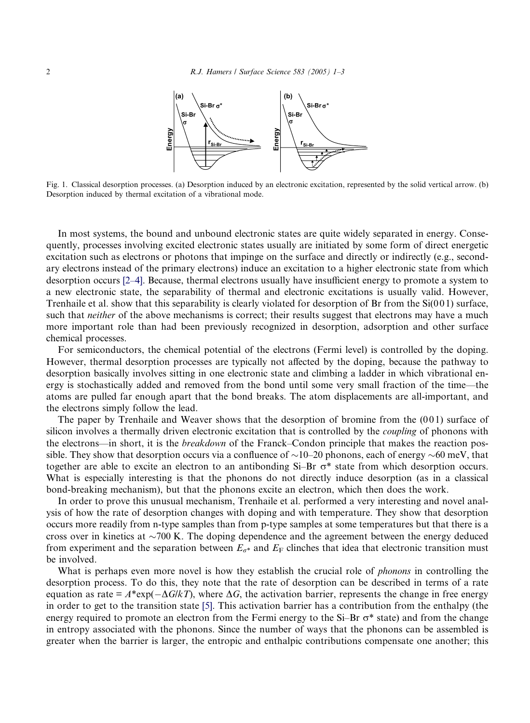<span id="page-1-0"></span>

Fig. 1. Classical desorption processes. (a) Desorption induced by an electronic excitation, represented by the solid vertical arrow. (b) Desorption induced by thermal excitation of a vibrational mode.

In most systems, the bound and unbound electronic states are quite widely separated in energy. Consequently, processes involving excited electronic states usually are initiated by some form of direct energetic excitation such as electrons or photons that impinge on the surface and directly or indirectly (e.g., secondary electrons instead of the primary electrons) induce an excitation to a higher electronic state from which desorption occurs [\[2–4\]](#page-2-0). Because, thermal electrons usually have insufficient energy to promote a system to a new electronic state, the separability of thermal and electronic excitations is usually valid. However, Trenhaile et al. show that this separability is clearly violated for desorption of Br from the  $Si(001)$  surface, such that *neither* of the above mechanisms is correct; their results suggest that electrons may have a much more important role than had been previously recognized in desorption, adsorption and other surface chemical processes.

For semiconductors, the chemical potential of the electrons (Fermi level) is controlled by the doping. However, thermal desorption processes are typically not affected by the doping, because the pathway to desorption basically involves sitting in one electronic state and climbing a ladder in which vibrational energy is stochastically added and removed from the bond until some very small fraction of the time—the atoms are pulled far enough apart that the bond breaks. The atom displacements are all-important, and the electrons simply follow the lead.

The paper by Trenhaile and Weaver shows that the desorption of bromine from the  $(001)$  surface of silicon involves a thermally driven electronic excitation that is controlled by the *coupling* of phonons with the electrons—in short, it is the breakdown of the Franck–Condon principle that makes the reaction possible. They show that desorption occurs via a confluence of  $\sim$ 10–20 phonons, each of energy  $\sim$ 60 meV, that together are able to excite an electron to an antibonding  $Si-Br \sigma^*$  state from which desorption occurs. What is especially interesting is that the phonons do not directly induce desorption (as in a classical bond-breaking mechanism), but that the phonons excite an electron, which then does the work.

In order to prove this unusual mechanism, Trenhaile et al. performed a very interesting and novel analysis of how the rate of desorption changes with doping and with temperature. They show that desorption occurs more readily from n-type samples than from p-type samples at some temperatures but that there is a cross over in kinetics at  $\sim$ 700 K. The doping dependence and the agreement between the energy deduced from experiment and the separation between  $E_{\sigma^*}$  and  $E_F$  clinches that idea that electronic transition must be involved.

What is perhaps even more novel is how they establish the crucial role of *phonons* in controlling the desorption process. To do this, they note that the rate of desorption can be described in terms of a rate equation as rate =  $A^*$ exp( $-\Delta G/kT$ ), where  $\Delta G$ , the activation barrier, represents the change in free energy in order to get to the transition state [\[5\]](#page-2-0). This activation barrier has a contribution from the enthalpy (the energy required to promote an electron from the Fermi energy to the Si–Br  $\sigma^*$  state) and from the change in entropy associated with the phonons. Since the number of ways that the phonons can be assembled is greater when the barrier is larger, the entropic and enthalpic contributions compensate one another; this